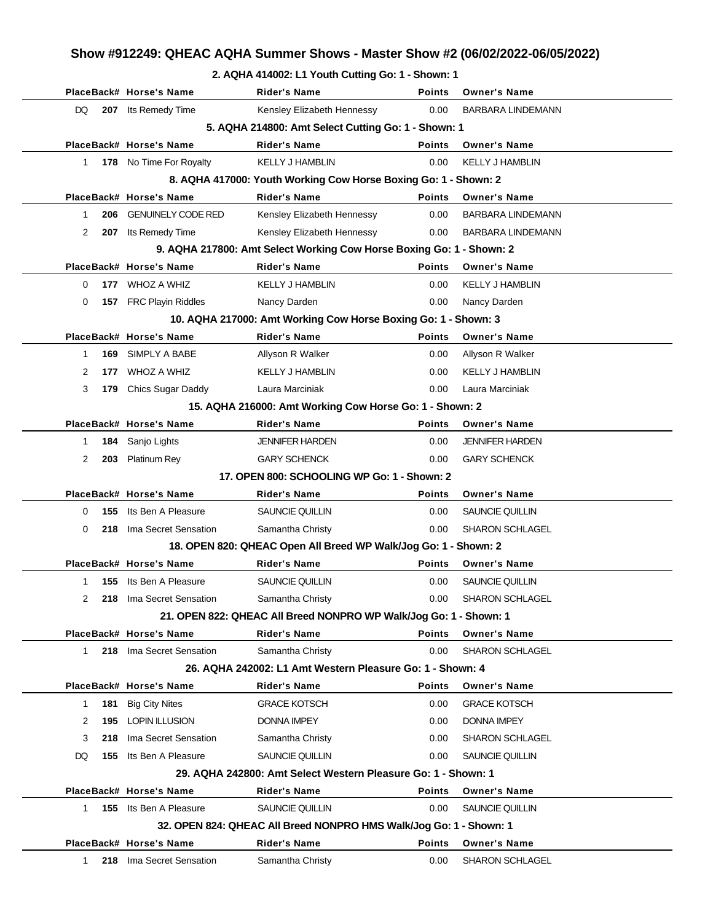#### **2. AQHA 414002: L1 Youth Cutting Go: 1 - Shown: 1**

|              |     | PlaceBack# Horse's Name   | <b>Rider's Name</b>                                                  | <b>Points</b> | <b>Owner's Name</b>      |
|--------------|-----|---------------------------|----------------------------------------------------------------------|---------------|--------------------------|
| DQ           | 207 | Its Remedy Time           | Kensley Elizabeth Hennessy                                           | 0.00          | <b>BARBARA LINDEMANN</b> |
|              |     |                           | 5. AQHA 214800: Amt Select Cutting Go: 1 - Shown: 1                  |               |                          |
|              |     | PlaceBack# Horse's Name   | <b>Rider's Name</b>                                                  | <b>Points</b> | <b>Owner's Name</b>      |
| $\mathbf{1}$ |     | 178 No Time For Royalty   | <b>KELLY J HAMBLIN</b>                                               | 0.00          | <b>KELLY J HAMBLIN</b>   |
|              |     |                           | 8. AQHA 417000: Youth Working Cow Horse Boxing Go: 1 - Shown: 2      |               |                          |
|              |     | PlaceBack# Horse's Name   | <b>Rider's Name</b>                                                  | <b>Points</b> | <b>Owner's Name</b>      |
| 1            | 206 | <b>GENUINELY CODE RED</b> | Kensley Elizabeth Hennessy                                           | 0.00          | <b>BARBARA LINDEMANN</b> |
| 2            | 207 | Its Remedy Time           | Kensley Elizabeth Hennessy                                           | 0.00          | <b>BARBARA LINDEMANN</b> |
|              |     |                           | 9. AQHA 217800: Amt Select Working Cow Horse Boxing Go: 1 - Shown: 2 |               |                          |
|              |     | PlaceBack# Horse's Name   | <b>Rider's Name</b>                                                  | <b>Points</b> | <b>Owner's Name</b>      |
| 0            | 177 | WHOZ A WHIZ               | <b>KELLY J HAMBLIN</b>                                               | 0.00          | <b>KELLY J HAMBLIN</b>   |
| 0            | 157 | <b>FRC Playin Riddles</b> | Nancy Darden                                                         | 0.00          | Nancy Darden             |
|              |     |                           | 10. AQHA 217000: Amt Working Cow Horse Boxing Go: 1 - Shown: 3       |               |                          |
|              |     | PlaceBack# Horse's Name   | <b>Rider's Name</b>                                                  | <b>Points</b> | <b>Owner's Name</b>      |
| $\mathbf{1}$ | 169 | SIMPLY A BABE             | Allyson R Walker                                                     | 0.00          | Allyson R Walker         |
| 2            | 177 | <b>WHOZ A WHIZ</b>        | <b>KELLY J HAMBLIN</b>                                               | 0.00          | <b>KELLY J HAMBLIN</b>   |
| 3            | 179 | Chics Sugar Daddy         | Laura Marciniak                                                      | 0.00          | Laura Marciniak          |
|              |     |                           | 15. AQHA 216000: Amt Working Cow Horse Go: 1 - Shown: 2              |               |                          |
|              |     | PlaceBack# Horse's Name   | <b>Rider's Name</b>                                                  | <b>Points</b> | <b>Owner's Name</b>      |
| $\mathbf{1}$ | 184 | Sanjo Lights              | <b>JENNIFER HARDEN</b>                                               | 0.00          | <b>JENNIFER HARDEN</b>   |
| 2            | 203 | <b>Platinum Rey</b>       | <b>GARY SCHENCK</b>                                                  | 0.00          | <b>GARY SCHENCK</b>      |
|              |     |                           | 17. OPEN 800: SCHOOLING WP Go: 1 - Shown: 2                          |               |                          |
|              |     | PlaceBack# Horse's Name   | <b>Rider's Name</b>                                                  | <b>Points</b> | <b>Owner's Name</b>      |
| 0            | 155 | Its Ben A Pleasure        | SAUNCIE QUILLIN                                                      | 0.00          | SAUNCIE QUILLIN          |
| 0            | 218 | Ima Secret Sensation      | Samantha Christy                                                     | 0.00          | SHARON SCHLAGEL          |
|              |     |                           | 18. OPEN 820: QHEAC Open All Breed WP Walk/Jog Go: 1 - Shown: 2      |               |                          |
|              |     | PlaceBack# Horse's Name   | Rider's Name                                                         | <b>Points</b> | <b>Owner's Name</b>      |
| 1            | 155 | Its Ben A Pleasure        | SAUNCIE QUILLIN                                                      | 0.00          | SAUNCIE QUILLIN          |
| 2            | 218 | Ima Secret Sensation      | Samantha Christy                                                     | 0.00          | SHARON SCHLAGEL          |
|              |     |                           | 21. OPEN 822: QHEAC All Breed NONPRO WP Walk/Jog Go: 1 - Shown: 1    |               |                          |
|              |     | PlaceBack# Horse's Name   | Rider's Name                                                         | <b>Points</b> | <b>Owner's Name</b>      |
| $\mathbf{1}$ | 218 | Ima Secret Sensation      | Samantha Christy                                                     | 0.00          | SHARON SCHLAGEL          |
|              |     |                           | 26. AQHA 242002: L1 Amt Western Pleasure Go: 1 - Shown: 4            |               |                          |
|              |     | PlaceBack# Horse's Name   | Rider's Name                                                         | <b>Points</b> | <b>Owner's Name</b>      |
| 1            | 181 | <b>Big City Nites</b>     | <b>GRACE KOTSCH</b>                                                  | 0.00          | <b>GRACE KOTSCH</b>      |
| 2            | 195 | <b>LOPIN ILLUSION</b>     | <b>DONNA IMPEY</b>                                                   | 0.00          | <b>DONNA IMPEY</b>       |
| 3            | 218 | Ima Secret Sensation      | Samantha Christy                                                     | 0.00          | <b>SHARON SCHLAGEL</b>   |
| DQ           | 155 | Its Ben A Pleasure        | SAUNCIE QUILLIN                                                      | 0.00          | SAUNCIE QUILLIN          |
|              |     |                           | 29. AQHA 242800: Amt Select Western Pleasure Go: 1 - Shown: 1        |               |                          |
|              |     | PlaceBack# Horse's Name   | <b>Rider's Name</b>                                                  | <b>Points</b> | <b>Owner's Name</b>      |
| $\mathbf 1$  | 155 | Its Ben A Pleasure        | SAUNCIE QUILLIN                                                      | 0.00          | SAUNCIE QUILLIN          |
|              |     |                           | 32. OPEN 824: QHEAC All Breed NONPRO HMS Walk/Jog Go: 1 - Shown: 1   |               |                          |
|              |     | PlaceBack# Horse's Name   | <b>Rider's Name</b>                                                  | <b>Points</b> | <b>Owner's Name</b>      |
| $\mathbf{1}$ | 218 | Ima Secret Sensation      | Samantha Christy                                                     | 0.00          | SHARON SCHLAGEL          |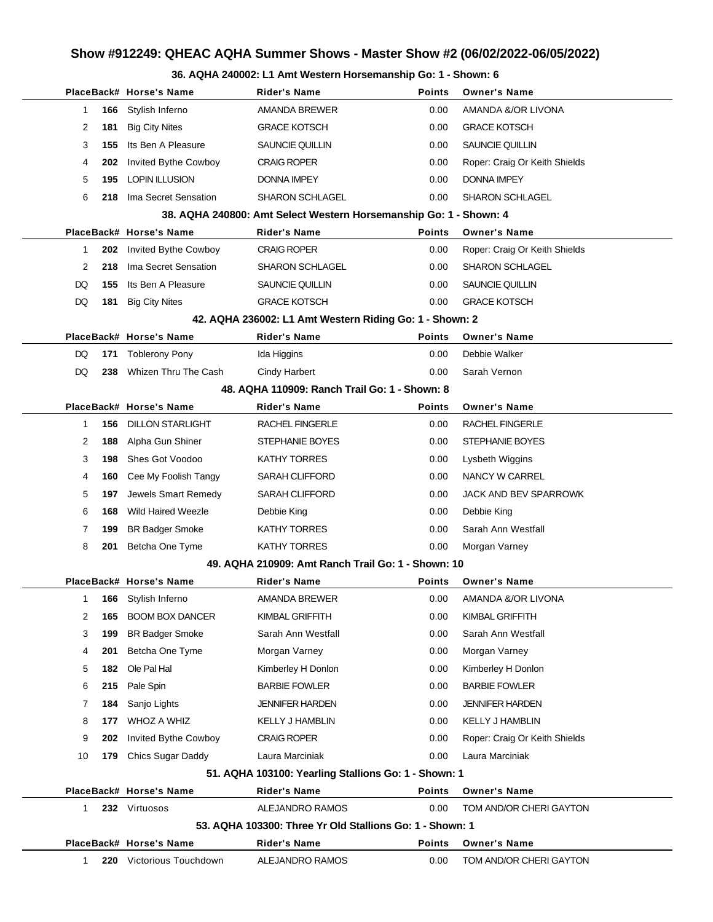#### **36. AQHA 240002: L1 Amt Western Horsemanship Go: 1 - Shown: 6**

|                       | PlaceBack# Horse's Name   | <b>Rider's Name</b>                                               | <b>Points</b> | <b>Owner's Name</b>           |
|-----------------------|---------------------------|-------------------------------------------------------------------|---------------|-------------------------------|
| 166<br>1              | Stylish Inferno           | <b>AMANDA BREWER</b>                                              | 0.00          | AMANDA &/OR LIVONA            |
| 2<br>181              | <b>Big City Nites</b>     | <b>GRACE KOTSCH</b>                                               | 0.00          | <b>GRACE KOTSCH</b>           |
| 3<br>155              | Its Ben A Pleasure        | <b>SAUNCIE QUILLIN</b>                                            | 0.00          | SAUNCIE QUILLIN               |
| 4<br>202              | Invited Bythe Cowboy      | <b>CRAIG ROPER</b>                                                | 0.00          | Roper: Craig Or Keith Shields |
| 5<br>195              | <b>LOPIN ILLUSION</b>     | <b>DONNA IMPEY</b>                                                | 0.00          | <b>DONNA IMPEY</b>            |
| 6<br>218              | Ima Secret Sensation      | <b>SHARON SCHLAGEL</b>                                            | 0.00          | <b>SHARON SCHLAGEL</b>        |
|                       |                           | 38. AQHA 240800: Amt Select Western Horsemanship Go: 1 - Shown: 4 |               |                               |
|                       | PlaceBack# Horse's Name   | <b>Rider's Name</b>                                               | <b>Points</b> | <b>Owner's Name</b>           |
| 202<br>1              | Invited Bythe Cowboy      | <b>CRAIG ROPER</b>                                                | 0.00          | Roper: Craig Or Keith Shields |
| $\overline{2}$<br>218 | Ima Secret Sensation      | <b>SHARON SCHLAGEL</b>                                            | 0.00          | <b>SHARON SCHLAGEL</b>        |
| 155<br>DQ             | Its Ben A Pleasure        | SAUNCIE QUILLIN                                                   | 0.00          | SAUNCIE QUILLIN               |
| DQ<br>181             | <b>Big City Nites</b>     | <b>GRACE KOTSCH</b>                                               | 0.00          | <b>GRACE KOTSCH</b>           |
|                       |                           | 42. AQHA 236002: L1 Amt Western Riding Go: 1 - Shown: 2           |               |                               |
|                       | PlaceBack# Horse's Name   | <b>Rider's Name</b>                                               | <b>Points</b> | <b>Owner's Name</b>           |
| DQ<br>171             | <b>Toblerony Pony</b>     | Ida Higgins                                                       | 0.00          | Debbie Walker                 |
| DQ.<br>238            | Whizen Thru The Cash      | <b>Cindy Harbert</b>                                              | 0.00          | Sarah Vernon                  |
|                       |                           | 48. AQHA 110909: Ranch Trail Go: 1 - Shown: 8                     |               |                               |
|                       | PlaceBack# Horse's Name   | <b>Rider's Name</b>                                               | <b>Points</b> | <b>Owner's Name</b>           |
| 156<br>1              | <b>DILLON STARLIGHT</b>   | <b>RACHEL FINGERLE</b>                                            | 0.00          | RACHEL FINGERLE               |
| 2<br>188              | Alpha Gun Shiner          | STEPHANIE BOYES                                                   | 0.00          | <b>STEPHANIE BOYES</b>        |
| 3<br>198              | Shes Got Voodoo           | <b>KATHY TORRES</b>                                               | 0.00          | Lysbeth Wiggins               |
| 4<br>160              | Cee My Foolish Tangy      | <b>SARAH CLIFFORD</b>                                             | 0.00          | NANCY W CARREL                |
| 5<br>197              | Jewels Smart Remedy       | <b>SARAH CLIFFORD</b>                                             | 0.00          | JACK AND BEV SPARROWK         |
| 6<br>168              | <b>Wild Haired Weezle</b> | Debbie King                                                       | 0.00          | Debbie King                   |
| 7<br>199              | <b>BR Badger Smoke</b>    | <b>KATHY TORRES</b>                                               | 0.00          | Sarah Ann Westfall            |
| 8<br>201              | Betcha One Tyme           | <b>KATHY TORRES</b>                                               | 0.00          | Morgan Varney                 |
|                       |                           | 49. AQHA 210909: Amt Ranch Trail Go: 1 - Shown: 10                |               |                               |
|                       | PlaceBack# Horse's Name   | Rider's Name                                                      | <b>Points</b> | <b>Owner's Name</b>           |
| 1                     | 166 Stylish Inferno       | AMANDA BREWER                                                     | 0.00          | AMANDA &/OR LIVONA            |
| 2<br>165              | <b>BOOM BOX DANCER</b>    | KIMBAL GRIFFITH                                                   | 0.00          | KIMBAL GRIFFITH               |
| 3<br>199              | <b>BR Badger Smoke</b>    | Sarah Ann Westfall                                                | 0.00          | Sarah Ann Westfall            |
| 4<br>201              | Betcha One Tyme           | Morgan Varney                                                     | 0.00          | Morgan Varney                 |
| 5<br>182              | Ole Pal Hal               | Kimberley H Donlon                                                | 0.00          | Kimberley H Donlon            |
| 6<br>215              | Pale Spin                 | <b>BARBIE FOWLER</b>                                              | 0.00          | <b>BARBIE FOWLER</b>          |
| 7<br>184              | Sanjo Lights              | <b>JENNIFER HARDEN</b>                                            | 0.00          | <b>JENNIFER HARDEN</b>        |
| 8<br>177              | WHOZ A WHIZ               | <b>KELLY J HAMBLIN</b>                                            | 0.00          | <b>KELLY J HAMBLIN</b>        |
| 9<br>202              | Invited Bythe Cowboy      | <b>CRAIG ROPER</b>                                                | 0.00          | Roper: Craig Or Keith Shields |
| 10<br>179             | <b>Chics Sugar Daddy</b>  | Laura Marciniak                                                   | 0.00          | Laura Marciniak               |
|                       |                           | 51. AQHA 103100: Yearling Stallions Go: 1 - Shown: 1              |               |                               |
|                       | PlaceBack# Horse's Name   | <b>Rider's Name</b>                                               | <b>Points</b> | <b>Owner's Name</b>           |
| 1                     | 232 Virtuosos             | ALEJANDRO RAMOS                                                   | 0.00          | TOM AND/OR CHERI GAYTON       |
|                       |                           | 53. AQHA 103300: Three Yr Old Stallions Go: 1 - Shown: 1          |               |                               |
|                       | PlaceBack# Horse's Name   | <b>Rider's Name</b>                                               | <b>Points</b> | <b>Owner's Name</b>           |
| 1<br>220              | Victorious Touchdown      | ALEJANDRO RAMOS                                                   | 0.00          | TOM AND/OR CHERI GAYTON       |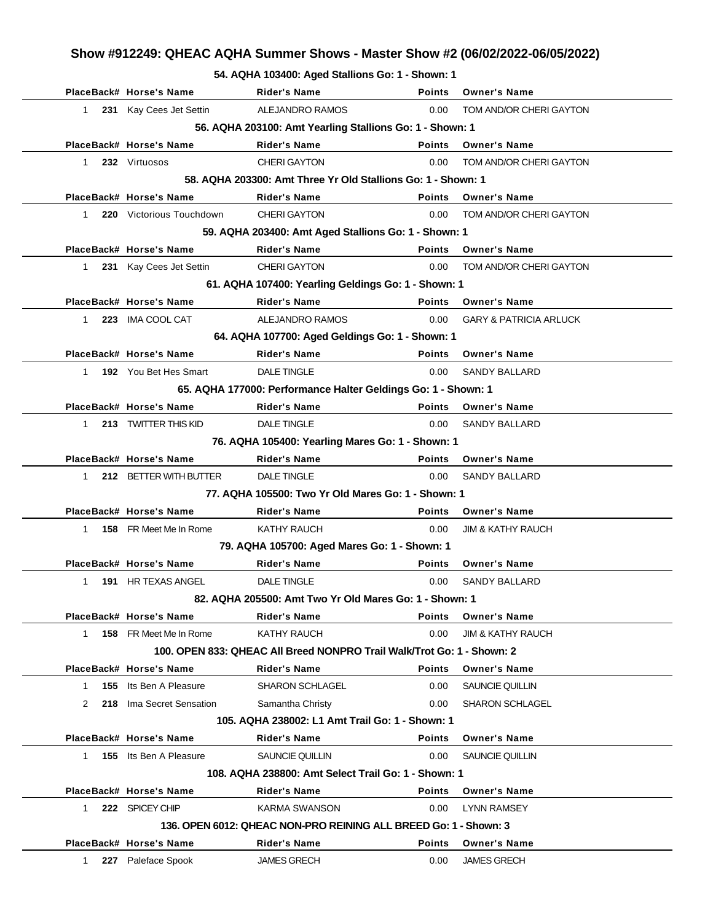**54. AQHA 103400: Aged Stallions Go: 1 - Shown: 1**

|                     | PlaceBack# Horse's Name  | <b>Rider's Name</b>                                                    | <b>Points</b> | <b>Owner's Name</b>               |
|---------------------|--------------------------|------------------------------------------------------------------------|---------------|-----------------------------------|
| 1                   | 231 Kay Cees Jet Settin  | ALEJANDRO RAMOS                                                        | 0.00          | TOM AND/OR CHERI GAYTON           |
|                     |                          | 56. AQHA 203100: Amt Yearling Stallions Go: 1 - Shown: 1               |               |                                   |
|                     | PlaceBack# Horse's Name  | <b>Rider's Name</b>                                                    | <b>Points</b> | <b>Owner's Name</b>               |
| 1                   | 232 Virtuosos            | <b>CHERI GAYTON</b>                                                    | 0.00          | TOM AND/OR CHERI GAYTON           |
|                     |                          | 58. AQHA 203300: Amt Three Yr Old Stallions Go: 1 - Shown: 1           |               |                                   |
|                     | PlaceBack# Horse's Name  | <b>Rider's Name</b>                                                    | Points        | <b>Owner's Name</b>               |
| 1.                  | 220 Victorious Touchdown | <b>CHERI GAYTON</b>                                                    | 0.00          | TOM AND/OR CHERI GAYTON           |
|                     |                          | 59. AQHA 203400: Amt Aged Stallions Go: 1 - Shown: 1                   |               |                                   |
|                     | PlaceBack# Horse's Name  | <b>Rider's Name</b>                                                    | <b>Points</b> | <b>Owner's Name</b>               |
| $\mathbf{1}$        | 231 Kay Cees Jet Settin  | <b>CHERI GAYTON</b>                                                    | 0.00          | TOM AND/OR CHERI GAYTON           |
|                     |                          | 61. AQHA 107400: Yearling Geldings Go: 1 - Shown: 1                    |               |                                   |
|                     | PlaceBack# Horse's Name  | <b>Rider's Name</b>                                                    | <b>Points</b> | <b>Owner's Name</b>               |
| 1                   | 223 IMA COOL CAT         | ALEJANDRO RAMOS                                                        | 0.00          | <b>GARY &amp; PATRICIA ARLUCK</b> |
|                     |                          | 64. AQHA 107700: Aged Geldings Go: 1 - Shown: 1                        |               |                                   |
|                     | PlaceBack# Horse's Name  | <b>Rider's Name</b>                                                    | <b>Points</b> | <b>Owner's Name</b>               |
| 1                   | 192 You Bet Hes Smart    | <b>DALE TINGLE</b>                                                     | 0.00          | <b>SANDY BALLARD</b>              |
|                     |                          | 65. AQHA 177000: Performance Halter Geldings Go: 1 - Shown: 1          |               |                                   |
|                     | PlaceBack# Horse's Name  | <b>Rider's Name</b>                                                    | <b>Points</b> | <b>Owner's Name</b>               |
| 1.                  | 213 TWITTER THIS KID     | <b>DALE TINGLE</b>                                                     | 0.00          | <b>SANDY BALLARD</b>              |
|                     |                          | 76. AQHA 105400: Yearling Mares Go: 1 - Shown: 1                       |               |                                   |
|                     | PlaceBack# Horse's Name  | <b>Rider's Name</b>                                                    | <b>Points</b> | <b>Owner's Name</b>               |
| 1                   | 212 BETTER WITH BUTTER   | <b>DALE TINGLE</b>                                                     | 0.00          | <b>SANDY BALLARD</b>              |
|                     |                          | 77. AQHA 105500: Two Yr Old Mares Go: 1 - Shown: 1                     |               |                                   |
|                     | PlaceBack# Horse's Name  | <b>Rider's Name</b>                                                    | <b>Points</b> | <b>Owner's Name</b>               |
| 1.                  | 158 FR Meet Me In Rome   | KATHY RAUCH                                                            | 0.00          | <b>JIM &amp; KATHY RAUCH</b>      |
|                     |                          | 79. AQHA 105700: Aged Mares Go: 1 - Shown: 1                           |               |                                   |
|                     | PlaceBack# Horse's Name  | <b>Rider's Name</b>                                                    | <b>Points</b> | <b>Owner's Name</b>               |
| $\mathbf{1}$        | 191 HR TEXAS ANGEL       | <b>DALE TINGLE</b>                                                     | 0.00          | <b>SANDY BALLARD</b>              |
|                     |                          | 82. AQHA 205500: Amt Two Yr Old Mares Go: 1 - Shown: 1                 |               |                                   |
|                     | PlaceBack# Horse's Name  | Rider's Name                                                           | <b>Points</b> | <b>Owner's Name</b>               |
| $\mathbf{1}$        | 158 FR Meet Me In Rome   | KATHY RAUCH                                                            | 0.00          | <b>JIM &amp; KATHY RAUCH</b>      |
|                     |                          | 100. OPEN 833: QHEAC All Breed NONPRO Trail Walk/Trot Go: 1 - Shown: 2 |               |                                   |
|                     | PlaceBack# Horse's Name  | Rider's Name                                                           | <b>Points</b> | <b>Owner's Name</b>               |
| 155<br>$\mathbf{1}$ | Its Ben A Pleasure       | <b>SHARON SCHLAGEL</b>                                                 | 0.00          | SAUNCIE QUILLIN                   |
| 2                   | 218 Ima Secret Sensation | Samantha Christy                                                       | 0.00          | <b>SHARON SCHLAGEL</b>            |
|                     |                          | 105. AQHA 238002: L1 Amt Trail Go: 1 - Shown: 1                        |               |                                   |
|                     | PlaceBack# Horse's Name  | <b>Rider's Name</b>                                                    | <b>Points</b> | <b>Owner's Name</b>               |
| $\mathbf{1}$        | 155 Its Ben A Pleasure   | SAUNCIE QUILLIN                                                        | 0.00          | SAUNCIE QUILLIN                   |
|                     |                          | 108. AQHA 238800: Amt Select Trail Go: 1 - Shown: 1                    |               |                                   |
|                     | PlaceBack# Horse's Name  | <b>Rider's Name</b>                                                    | <b>Points</b> | <b>Owner's Name</b>               |
| 1                   | 222 SPICEY CHIP          | KARMA SWANSON                                                          | 0.00          | <b>LYNN RAMSEY</b>                |
|                     |                          | 136, OPEN 6012: QHEAC NON-PRO REINING ALL BREED Go: 1 - Shown: 3       |               |                                   |
|                     | PlaceBack# Horse's Name  | Rider's Name                                                           | Points        | <b>Owner's Name</b>               |
| $\mathbf{1}$<br>227 | Paleface Spook           | <b>JAMES GRECH</b>                                                     | 0.00          | <b>JAMES GRECH</b>                |
|                     |                          |                                                                        |               |                                   |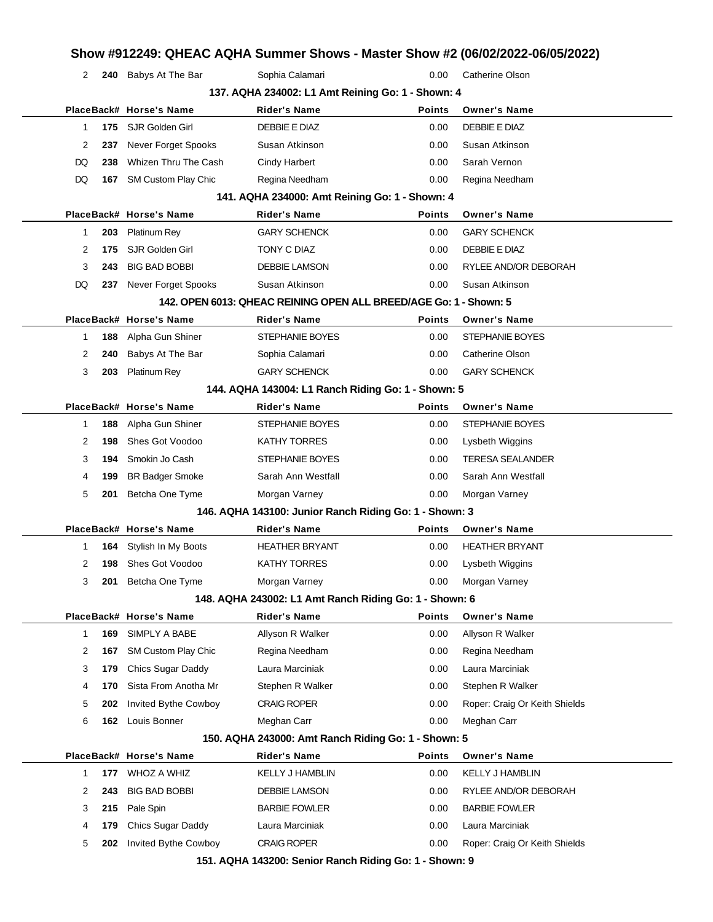|              |     | 240 Babys At The Bar    | Sophia Calamari                                                   | 0.00          | Catherine Olson               |
|--------------|-----|-------------------------|-------------------------------------------------------------------|---------------|-------------------------------|
|              |     |                         | 137. AQHA 234002: L1 Amt Reining Go: 1 - Shown: 4                 |               |                               |
|              |     | PlaceBack# Horse's Name | <b>Rider's Name</b>                                               | <b>Points</b> | <b>Owner's Name</b>           |
| 1            |     | 175 SJR Golden Girl     | DEBBIE E DIAZ                                                     | 0.00          | <b>DEBBIE E DIAZ</b>          |
| 2            | 237 | Never Forget Spooks     | Susan Atkinson                                                    | 0.00          | Susan Atkinson                |
| DQ           | 238 | Whizen Thru The Cash    | <b>Cindy Harbert</b>                                              | 0.00          | Sarah Vernon                  |
| DQ           | 167 | SM Custom Play Chic     | Regina Needham                                                    | 0.00          | Regina Needham                |
|              |     |                         | 141. AQHA 234000: Amt Reining Go: 1 - Shown: 4                    |               |                               |
|              |     | PlaceBack# Horse's Name | <b>Rider's Name</b>                                               | <b>Points</b> | <b>Owner's Name</b>           |
| 1            | 203 | <b>Platinum Rey</b>     | <b>GARY SCHENCK</b>                                               | 0.00          | <b>GARY SCHENCK</b>           |
| 2            | 175 | SJR Golden Girl         | TONY C DIAZ                                                       | 0.00          | DEBBIE E DIAZ                 |
| 3            | 243 | <b>BIG BAD BOBBI</b>    | <b>DEBBIE LAMSON</b>                                              | 0.00          | RYLEE AND/OR DEBORAH          |
| DQ           | 237 | Never Forget Spooks     | Susan Atkinson                                                    | 0.00          | Susan Atkinson                |
|              |     |                         | 142. OPEN 6013: QHEAC REINING OPEN ALL BREED/AGE Go: 1 - Shown: 5 |               |                               |
|              |     | PlaceBack# Horse's Name | <b>Rider's Name</b>                                               | <b>Points</b> | <b>Owner's Name</b>           |
| 1            | 188 | Alpha Gun Shiner        | STEPHANIE BOYES                                                   | 0.00          | <b>STEPHANIE BOYES</b>        |
| 2            | 240 | Babys At The Bar        | Sophia Calamari                                                   | 0.00          | Catherine Olson               |
| 3            | 203 | <b>Platinum Rey</b>     | <b>GARY SCHENCK</b>                                               | 0.00          | <b>GARY SCHENCK</b>           |
|              |     |                         | 144. AQHA 143004: L1 Ranch Riding Go: 1 - Shown: 5                |               |                               |
|              |     | PlaceBack# Horse's Name | <b>Rider's Name</b>                                               | <b>Points</b> | <b>Owner's Name</b>           |
| $\mathbf{1}$ | 188 | Alpha Gun Shiner        | STEPHANIE BOYES                                                   | 0.00          | STEPHANIE BOYES               |
| 2            | 198 | Shes Got Voodoo         | <b>KATHY TORRES</b>                                               | 0.00          | Lysbeth Wiggins               |
| 3            | 194 | Smokin Jo Cash          | STEPHANIE BOYES                                                   | 0.00          | <b>TERESA SEALANDER</b>       |
| 4            | 199 | <b>BR Badger Smoke</b>  | Sarah Ann Westfall                                                | 0.00          | Sarah Ann Westfall            |
| 5            | 201 | Betcha One Tyme         | Morgan Varney                                                     | 0.00          | Morgan Varney                 |
|              |     |                         | 146. AQHA 143100: Junior Ranch Riding Go: 1 - Shown: 3            |               |                               |
|              |     | PlaceBack# Horse's Name | <b>Rider's Name</b>                                               | <b>Points</b> | <b>Owner's Name</b>           |
|              |     |                         |                                                                   |               |                               |
| 1            | 164 | Stylish In My Boots     | <b>HEATHER BRYANT</b>                                             | 0.00          | <b>HEATHER BRYANT</b>         |
| 2            | 198 | Shes Got Voodoo         | <b>KATHY TORRES</b>                                               | 0.00          | Lysbeth Wiggins               |
| 3<br>201     |     | Betcha One Tyme         | Morgan Varney                                                     | 0.00          | Morgan Varney                 |
|              |     |                         | 148. AQHA 243002: L1 Amt Ranch Riding Go: 1 - Shown: 6            |               |                               |
|              |     | PlaceBack# Horse's Name | <b>Rider's Name</b>                                               | <b>Points</b> | <b>Owner's Name</b>           |
| $\mathbf{1}$ | 169 | SIMPLY A BABE           | Allyson R Walker                                                  | 0.00          | Allyson R Walker              |
| 2            | 167 | SM Custom Play Chic     | Regina Needham                                                    | 0.00          | Regina Needham                |
| 3            | 179 | Chics Sugar Daddy       | Laura Marciniak                                                   | 0.00          | Laura Marciniak               |
| 4            | 170 | Sista From Anotha Mr    | Stephen R Walker                                                  | 0.00          | Stephen R Walker              |
| 5            | 202 | Invited Bythe Cowboy    | <b>CRAIG ROPER</b>                                                | 0.00          | Roper: Craig Or Keith Shields |
| 6            | 162 | Louis Bonner            | Meghan Carr                                                       | 0.00          | Meghan Carr                   |
|              |     |                         | 150. AQHA 243000: Amt Ranch Riding Go: 1 - Shown: 5               |               |                               |
|              |     | PlaceBack# Horse's Name | <b>Rider's Name</b>                                               | <b>Points</b> | <b>Owner's Name</b>           |
| 1            | 177 | WHOZ A WHIZ             | <b>KELLY J HAMBLIN</b>                                            | 0.00          | <b>KELLY J HAMBLIN</b>        |
| 2            | 243 | <b>BIG BAD BOBBI</b>    | DEBBIE LAMSON                                                     | 0.00          | RYLEE AND/OR DEBORAH          |
| 3            | 215 | Pale Spin               | <b>BARBIE FOWLER</b>                                              | 0.00          | <b>BARBIE FOWLER</b>          |
| 4            | 179 | Chics Sugar Daddy       | Laura Marciniak                                                   | 0.00          | Laura Marciniak               |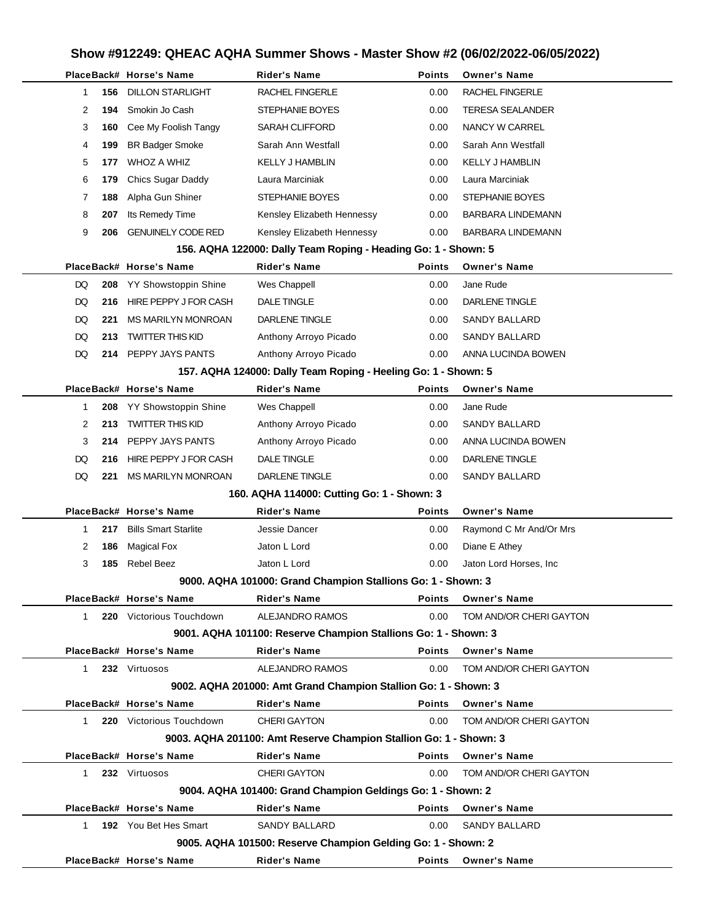|              |     | PlaceBack# Horse's Name     | <b>Rider's Name</b>                                               | <b>Points</b> | <b>Owner's Name</b>     |
|--------------|-----|-----------------------------|-------------------------------------------------------------------|---------------|-------------------------|
| 1            | 156 | <b>DILLON STARLIGHT</b>     | RACHEL FINGERLE                                                   | 0.00          | <b>RACHEL FINGERLE</b>  |
| 2            | 194 | Smokin Jo Cash              | STEPHANIE BOYES                                                   | 0.00          | <b>TERESA SEALANDER</b> |
| 3            | 160 | Cee My Foolish Tangy        | SARAH CLIFFORD                                                    | 0.00          | NANCY W CARREL          |
| 4            | 199 | <b>BR Badger Smoke</b>      | Sarah Ann Westfall                                                | 0.00          | Sarah Ann Westfall      |
| 5            | 177 | WHOZ A WHIZ                 | KELLY J HAMBLIN                                                   | 0.00          | <b>KELLY J HAMBLIN</b>  |
| 6            | 179 | <b>Chics Sugar Daddy</b>    | Laura Marciniak                                                   | 0.00          | Laura Marciniak         |
| 7            | 188 | Alpha Gun Shiner            | STEPHANIE BOYES                                                   | 0.00          | STEPHANIE BOYES         |
| 8            | 207 | Its Remedy Time             | Kensley Elizabeth Hennessy                                        | 0.00          | BARBARA LINDEMANN       |
| 9            | 206 | <b>GENUINELY CODE RED</b>   | Kensley Elizabeth Hennessy                                        | 0.00          | BARBARA LINDEMANN       |
|              |     |                             | 156. AQHA 122000: Dally Team Roping - Heading Go: 1 - Shown: 5    |               |                         |
|              |     | PlaceBack# Horse's Name     | <b>Rider's Name</b>                                               | <b>Points</b> | <b>Owner's Name</b>     |
| DQ           | 208 | YY Showstoppin Shine        | Wes Chappell                                                      | 0.00          | Jane Rude               |
| DQ           | 216 | HIRE PEPPY J FOR CASH       | <b>DALE TINGLE</b>                                                | 0.00          | <b>DARLENE TINGLE</b>   |
| DQ           | 221 | <b>MS MARILYN MONROAN</b>   | <b>DARLENE TINGLE</b>                                             | 0.00          | <b>SANDY BALLARD</b>    |
| DQ           | 213 | <b>TWITTER THIS KID</b>     | Anthony Arroyo Picado                                             | 0.00          | <b>SANDY BALLARD</b>    |
| DQ           |     | 214 PEPPY JAYS PANTS        | Anthony Arroyo Picado                                             | 0.00          | ANNA LUCINDA BOWEN      |
|              |     |                             | 157. AQHA 124000: Dally Team Roping - Heeling Go: 1 - Shown: 5    |               |                         |
|              |     | PlaceBack# Horse's Name     | <b>Rider's Name</b>                                               | <b>Points</b> | <b>Owner's Name</b>     |
| 1            | 208 | YY Showstoppin Shine        | Wes Chappell                                                      | 0.00          | Jane Rude               |
| 2            | 213 | <b>TWITTER THIS KID</b>     | Anthony Arroyo Picado                                             | 0.00          | SANDY BALLARD           |
| 3            |     | 214 PEPPY JAYS PANTS        | Anthony Arroyo Picado                                             | 0.00          | ANNA LUCINDA BOWEN      |
| DQ           | 216 | HIRE PEPPY J FOR CASH       | <b>DALE TINGLE</b>                                                | 0.00          | DARLENE TINGLE          |
| DQ           | 221 | MS MARILYN MONROAN          | DARLENE TINGLE                                                    | 0.00          | SANDY BALLARD           |
|              |     |                             | 160. AQHA 114000: Cutting Go: 1 - Shown: 3                        |               |                         |
|              |     | PlaceBack# Horse's Name     | <b>Rider's Name</b>                                               | <b>Points</b> | <b>Owner's Name</b>     |
| $\mathbf{1}$ | 217 | <b>Bills Smart Starlite</b> | Jessie Dancer                                                     | 0.00          | Raymond C Mr And/Or Mrs |
| 2            | 186 | <b>Magical Fox</b>          | Jaton L Lord                                                      | 0.00          | Diane E Athey           |
| 3            | 185 | <b>Rebel Beez</b>           | Jaton L Lord                                                      | 0.00          | Jaton Lord Horses, Inc. |
|              |     |                             | 9000. AQHA 101000: Grand Champion Stallions Go: 1 - Shown: 3      |               |                         |
|              |     | PlaceBack# Horse's Name     | <b>Rider's Name</b>                                               | Points        | <b>Owner's Name</b>     |
| 1            |     | 220 Victorious Touchdown    | ALEJANDRO RAMOS                                                   | 0.00          | TOM AND/OR CHERI GAYTON |
|              |     |                             | 9001. AQHA 101100: Reserve Champion Stallions Go: 1 - Shown: 3    |               |                         |
|              |     | PlaceBack# Horse's Name     | <b>Rider's Name</b>                                               | <b>Points</b> | <b>Owner's Name</b>     |
| 1.           |     | 232 Virtuosos               | <b>ALEJANDRO RAMOS</b>                                            | 0.00          | TOM AND/OR CHERI GAYTON |
|              |     |                             | 9002. AQHA 201000: Amt Grand Champion Stallion Go: 1 - Shown: 3   |               |                         |
|              |     | PlaceBack# Horse's Name     | <b>Rider's Name</b>                                               | <b>Points</b> | <b>Owner's Name</b>     |
| 1.           |     | 220 Victorious Touchdown    | <b>CHERI GAYTON</b>                                               | 0.00          | TOM AND/OR CHERI GAYTON |
|              |     |                             | 9003. AQHA 201100: Amt Reserve Champion Stallion Go: 1 - Shown: 3 |               |                         |
|              |     | PlaceBack# Horse's Name     | <b>Rider's Name</b>                                               | <b>Points</b> | <b>Owner's Name</b>     |
| 1.           |     | 232 Virtuosos               | <b>CHERI GAYTON</b>                                               | 0.00          | TOM AND/OR CHERI GAYTON |
|              |     |                             | 9004. AQHA 101400: Grand Champion Geldings Go: 1 - Shown: 2       |               |                         |
|              |     | PlaceBack# Horse's Name     | <b>Rider's Name</b>                                               | <b>Points</b> | <b>Owner's Name</b>     |
| 1            |     | 192 You Bet Hes Smart       | SANDY BALLARD                                                     | 0.00          | SANDY BALLARD           |
|              |     |                             | 9005. AQHA 101500: Reserve Champion Gelding Go: 1 - Shown: 2      |               |                         |
|              |     | PlaceBack# Horse's Name     | <b>Rider's Name</b>                                               | Points        | <b>Owner's Name</b>     |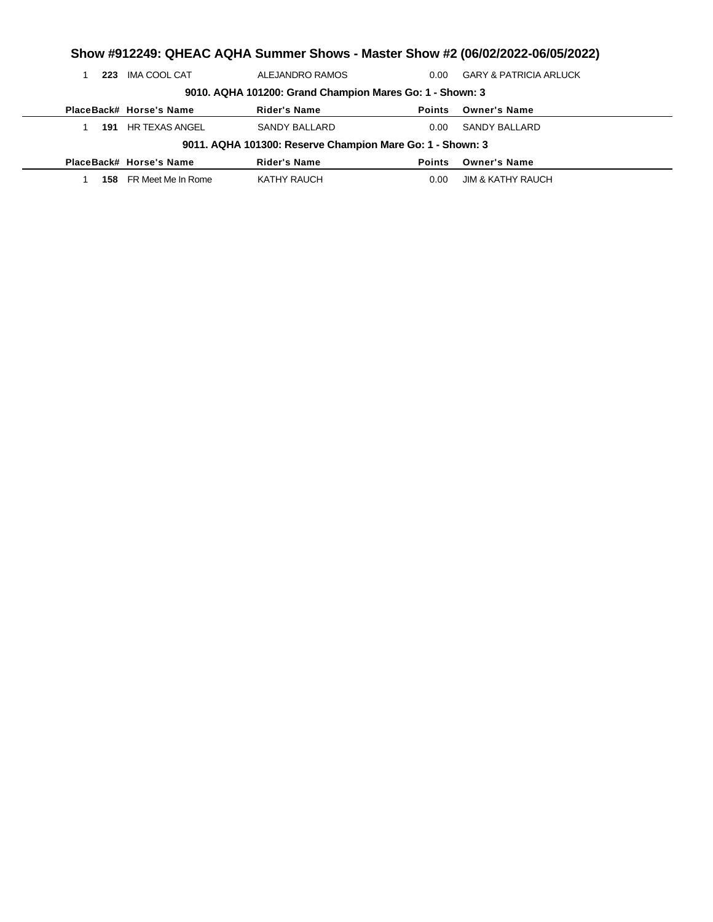| Show #912249: QHEAC AQHA Summer Shows - Master Show #2 (06/02/2022-06/05/2022) |                                                          |                                                           |               |                                   |  |  |  |  |  |
|--------------------------------------------------------------------------------|----------------------------------------------------------|-----------------------------------------------------------|---------------|-----------------------------------|--|--|--|--|--|
| 223                                                                            | IMA COOL CAT                                             | ALEJANDRO RAMOS                                           | 0.00          | <b>GARY &amp; PATRICIA ARLUCK</b> |  |  |  |  |  |
|                                                                                | 9010. AQHA 101200: Grand Champion Mares Go: 1 - Shown: 3 |                                                           |               |                                   |  |  |  |  |  |
|                                                                                | PlaceBack# Horse's Name                                  | <b>Rider's Name</b>                                       | <b>Points</b> | <b>Owner's Name</b>               |  |  |  |  |  |
| 191                                                                            | HR TEXAS ANGEL                                           | SANDY BALLARD                                             | 0.00          | SANDY BALLARD                     |  |  |  |  |  |
|                                                                                |                                                          | 9011. AQHA 101300: Reserve Champion Mare Go: 1 - Shown: 3 |               |                                   |  |  |  |  |  |
|                                                                                | PlaceBack# Horse's Name                                  | <b>Rider's Name</b>                                       | <b>Points</b> | <b>Owner's Name</b>               |  |  |  |  |  |
| 158                                                                            | FR Meet Me In Rome                                       | KATHY RAUCH                                               | 0.00          | <b>JIM &amp; KATHY RAUCH</b>      |  |  |  |  |  |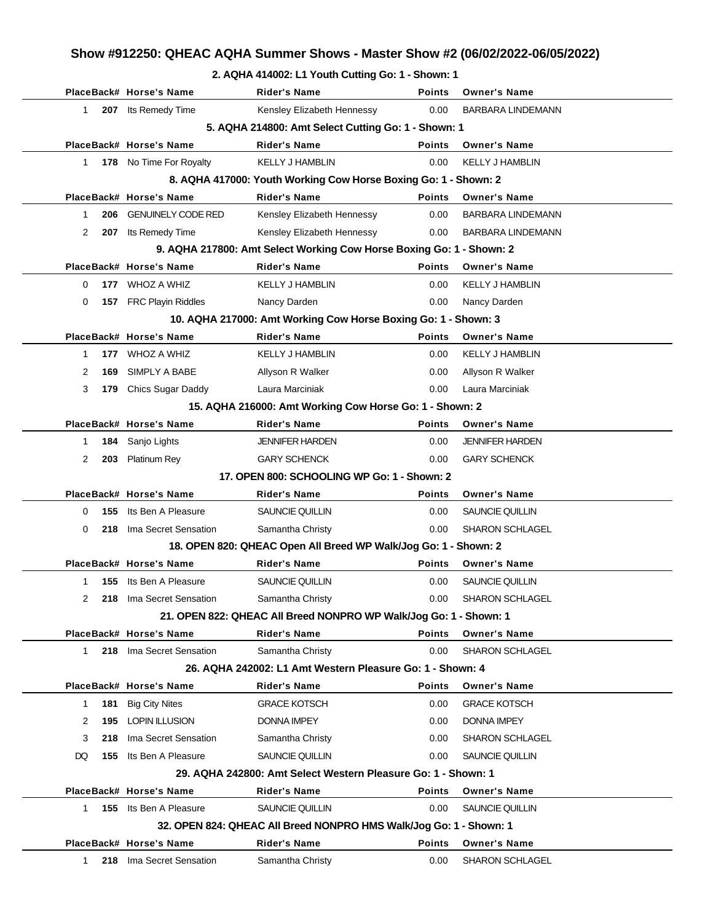#### **2. AQHA 414002: L1 Youth Cutting Go: 1 - Shown: 1**

|                |     | PlaceBack# Horse's Name       | <b>Rider's Name</b>                                                  | <b>Points</b> | <b>Owner's Name</b>      |
|----------------|-----|-------------------------------|----------------------------------------------------------------------|---------------|--------------------------|
| 1              |     | 207 Its Remedy Time           | Kensley Elizabeth Hennessy                                           | 0.00          | <b>BARBARA LINDEMANN</b> |
|                |     |                               | 5. AQHA 214800: Amt Select Cutting Go: 1 - Shown: 1                  |               |                          |
|                |     | PlaceBack# Horse's Name       | <b>Rider's Name</b>                                                  | <b>Points</b> | <b>Owner's Name</b>      |
| $\mathbf{1}$   |     | 178 No Time For Royalty       | <b>KELLY J HAMBLIN</b>                                               | 0.00          | <b>KELLY J HAMBLIN</b>   |
|                |     |                               | 8. AQHA 417000: Youth Working Cow Horse Boxing Go: 1 - Shown: 2      |               |                          |
|                |     | PlaceBack# Horse's Name       | <b>Rider's Name</b>                                                  | <b>Points</b> | <b>Owner's Name</b>      |
| 1              | 206 | <b>GENUINELY CODE RED</b>     | Kensley Elizabeth Hennessy                                           | 0.00          | <b>BARBARA LINDEMANN</b> |
| $\overline{2}$ |     | 207 Its Remedy Time           | Kensley Elizabeth Hennessy                                           | 0.00          | <b>BARBARA LINDEMANN</b> |
|                |     |                               | 9. AQHA 217800: Amt Select Working Cow Horse Boxing Go: 1 - Shown: 2 |               |                          |
|                |     | PlaceBack# Horse's Name       | <b>Rider's Name</b>                                                  | <b>Points</b> | <b>Owner's Name</b>      |
| 0              | 177 | WHOZ A WHIZ                   | <b>KELLY J HAMBLIN</b>                                               | 0.00          | <b>KELLY J HAMBLIN</b>   |
| 0              |     | 157 FRC Playin Riddles        | Nancy Darden                                                         | 0.00          | Nancy Darden             |
|                |     |                               | 10. AQHA 217000: Amt Working Cow Horse Boxing Go: 1 - Shown: 3       |               |                          |
|                |     | PlaceBack# Horse's Name       | <b>Rider's Name</b>                                                  | <b>Points</b> | <b>Owner's Name</b>      |
| 1              | 177 | <b>WHOZ A WHIZ</b>            | <b>KELLY J HAMBLIN</b>                                               | 0.00          | <b>KELLY J HAMBLIN</b>   |
| 2              | 169 | SIMPLY A BABE                 | Allyson R Walker                                                     | 0.00          | Allyson R Walker         |
| 3              | 179 | <b>Chics Sugar Daddy</b>      | Laura Marciniak                                                      | 0.00          | Laura Marciniak          |
|                |     |                               | 15. AQHA 216000: Amt Working Cow Horse Go: 1 - Shown: 2              |               |                          |
|                |     | PlaceBack# Horse's Name       | <b>Rider's Name</b>                                                  | <b>Points</b> | <b>Owner's Name</b>      |
| $\mathbf{1}$   | 184 | Sanjo Lights                  | <b>JENNIFER HARDEN</b>                                               | 0.00          | <b>JENNIFER HARDEN</b>   |
| 2              | 203 | <b>Platinum Rey</b>           | <b>GARY SCHENCK</b>                                                  | 0.00          | <b>GARY SCHENCK</b>      |
|                |     |                               | 17. OPEN 800: SCHOOLING WP Go: 1 - Shown: 2                          |               |                          |
|                |     | PlaceBack# Horse's Name       | Rider's Name                                                         | Points        | <b>Owner's Name</b>      |
| 0              | 155 | Its Ben A Pleasure            | SAUNCIE QUILLIN                                                      | 0.00          | SAUNCIE QUILLIN          |
| 0              | 218 | Ima Secret Sensation          | Samantha Christy                                                     | 0.00          | SHARON SCHLAGEL          |
|                |     |                               | 18. OPEN 820: QHEAC Open All Breed WP Walk/Jog Go: 1 - Shown: 2      |               |                          |
|                |     | PlaceBack# Horse's Name       | Rider's Name                                                         | <b>Points</b> | <b>Owner's Name</b>      |
| 1              | 155 | Its Ben A Pleasure            | SAUNCIE QUILLIN                                                      | 0.00          | SAUNCIE QUILLIN          |
| 2              | 218 | Ima Secret Sensation          | Samantha Christy                                                     | 0.00          | <b>SHARON SCHLAGEL</b>   |
|                |     |                               | 21. OPEN 822: QHEAC All Breed NONPRO WP Walk/Jog Go: 1 - Shown: 1    |               |                          |
|                |     | PlaceBack# Horse's Name       | Rider's Name                                                         | <b>Points</b> | <b>Owner's Name</b>      |
| $\mathbf{1}$   |     | 218 Ima Secret Sensation      | Samantha Christy                                                     | 0.00          | SHARON SCHLAGEL          |
|                |     |                               | 26. AQHA 242002: L1 Amt Western Pleasure Go: 1 - Shown: 4            |               |                          |
|                |     | PlaceBack# Horse's Name       | Rider's Name                                                         | <b>Points</b> | <b>Owner's Name</b>      |
| $\mathbf{1}$   | 181 | <b>Big City Nites</b>         | <b>GRACE KOTSCH</b>                                                  | 0.00          | <b>GRACE KOTSCH</b>      |
| 2              | 195 | <b>LOPIN ILLUSION</b>         | <b>DONNA IMPEY</b>                                                   | 0.00          | <b>DONNA IMPEY</b>       |
| 3              | 218 | Ima Secret Sensation          | Samantha Christy                                                     | 0.00          | <b>SHARON SCHLAGEL</b>   |
| DQ.            | 155 | Its Ben A Pleasure            | SAUNCIE QUILLIN                                                      | 0.00          | SAUNCIE QUILLIN          |
|                |     |                               | 29. AQHA 242800: Amt Select Western Pleasure Go: 1 - Shown: 1        |               |                          |
|                |     | PlaceBack# Horse's Name       | <b>Rider's Name</b>                                                  | <b>Points</b> | <b>Owner's Name</b>      |
| 1              |     | <b>155</b> Its Ben A Pleasure | SAUNCIE QUILLIN                                                      | 0.00          | SAUNCIE QUILLIN          |
|                |     |                               | 32. OPEN 824: QHEAC All Breed NONPRO HMS Walk/Jog Go: 1 - Shown: 1   |               |                          |
|                |     | PlaceBack# Horse's Name       | <b>Rider's Name</b>                                                  | <b>Points</b> | <b>Owner's Name</b>      |
| $\mathbf{1}$   | 218 | Ima Secret Sensation          | Samantha Christy                                                     | 0.00          | SHARON SCHLAGEL          |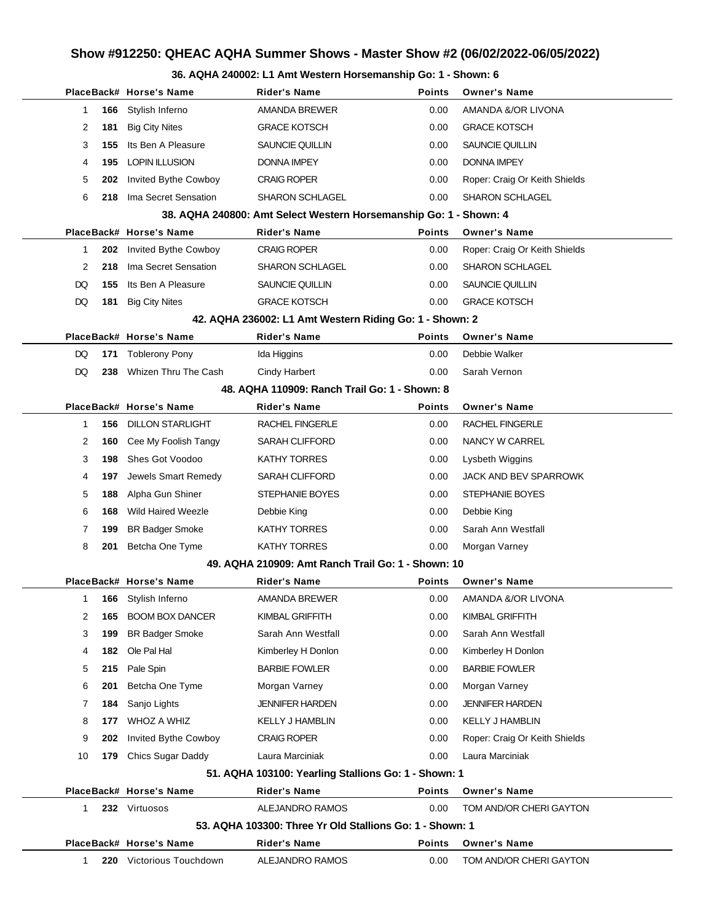#### **36. AQHA 240002: L1 Amt Western Horsemanship Go: 1 - Shown: 6**

|           | PlaceBack# Horse's Name     | <b>Rider's Name</b>                                               | <b>Points</b> | <b>Owner's Name</b>           |
|-----------|-----------------------------|-------------------------------------------------------------------|---------------|-------------------------------|
| 166<br>1  | Stylish Inferno             | AMANDA BREWER                                                     | 0.00          | AMANDA &/OR LIVONA            |
| 2<br>181  | <b>Big City Nites</b>       | <b>GRACE KOTSCH</b>                                               | 0.00          | <b>GRACE KOTSCH</b>           |
| 3<br>155  | Its Ben A Pleasure          | SAUNCIE QUILLIN                                                   | 0.00          | <b>SAUNCIE QUILLIN</b>        |
| 4<br>195  | <b>LOPIN ILLUSION</b>       | <b>DONNA IMPEY</b>                                                | 0.00          | <b>DONNA IMPEY</b>            |
| 5<br>202  | Invited Bythe Cowboy        | <b>CRAIG ROPER</b>                                                | 0.00          | Roper: Craig Or Keith Shields |
| 6<br>218  | Ima Secret Sensation        | <b>SHARON SCHLAGEL</b>                                            | 0.00          | <b>SHARON SCHLAGEL</b>        |
|           |                             | 38. AQHA 240800: Amt Select Western Horsemanship Go: 1 - Shown: 4 |               |                               |
|           | PlaceBack# Horse's Name     | <b>Rider's Name</b>                                               | <b>Points</b> | <b>Owner's Name</b>           |
| 202<br>1  | Invited Bythe Cowboy        | <b>CRAIG ROPER</b>                                                | 0.00          | Roper: Craig Or Keith Shields |
| 2<br>218  | Ima Secret Sensation        | <b>SHARON SCHLAGEL</b>                                            | 0.00          | <b>SHARON SCHLAGEL</b>        |
| DQ<br>155 | Its Ben A Pleasure          | SAUNCIE QUILLIN                                                   | 0.00          | SAUNCIE QUILLIN               |
| DQ<br>181 | <b>Big City Nites</b>       | <b>GRACE KOTSCH</b>                                               | 0.00          | <b>GRACE KOTSCH</b>           |
|           |                             | 42. AQHA 236002: L1 Amt Western Riding Go: 1 - Shown: 2           |               |                               |
|           | PlaceBack# Horse's Name     | <b>Rider's Name</b>                                               | <b>Points</b> | <b>Owner's Name</b>           |
| DQ<br>171 | <b>Toblerony Pony</b>       | Ida Higgins                                                       | 0.00          | Debbie Walker                 |
| DQ<br>238 | Whizen Thru The Cash        | Cindy Harbert                                                     | 0.00          | Sarah Vernon                  |
|           |                             | 48. AQHA 110909: Ranch Trail Go: 1 - Shown: 8                     |               |                               |
|           | PlaceBack# Horse's Name     | <b>Rider's Name</b>                                               | <b>Points</b> | <b>Owner's Name</b>           |
| 1<br>156  | <b>DILLON STARLIGHT</b>     | <b>RACHEL FINGERLE</b>                                            | 0.00          | RACHEL FINGERLE               |
| 2<br>160  | Cee My Foolish Tangy        | <b>SARAH CLIFFORD</b>                                             | 0.00          | NANCY W CARREL                |
| 3<br>198  | Shes Got Voodoo             | <b>KATHY TORRES</b>                                               | 0.00          | Lysbeth Wiggins               |
| 4<br>197  | Jewels Smart Remedy         | <b>SARAH CLIFFORD</b>                                             | 0.00          | JACK AND BEV SPARROWK         |
| 5<br>188  | Alpha Gun Shiner            | <b>STEPHANIE BOYES</b>                                            | 0.00          | STEPHANIE BOYES               |
| 6<br>168  | <b>Wild Haired Weezle</b>   | Debbie King                                                       | 0.00          | Debbie King                   |
| 7<br>199  | <b>BR Badger Smoke</b>      | <b>KATHY TORRES</b>                                               | 0.00          | Sarah Ann Westfall            |
| 8<br>201  | Betcha One Tyme             | <b>KATHY TORRES</b>                                               | 0.00          | Morgan Varney                 |
|           |                             | 49. AQHA 210909: Amt Ranch Trail Go: 1 - Shown: 10                |               |                               |
|           | PlaceBack# Horse's Name     | Rider's Name                                                      | <b>Points</b> | <b>Owner's Name</b>           |
| 1         | 166 Stylish Inferno         | AMANDA BREWER                                                     | 0.00          | AMANDA &/OR LIVONA            |
| 2<br>165  | <b>BOOM BOX DANCER</b>      | KIMBAL GRIFFITH                                                   | 0.00          | KIMBAL GRIFFITH               |
| 3<br>199  | <b>BR Badger Smoke</b>      | Sarah Ann Westfall                                                | 0.00          | Sarah Ann Westfall            |
| 4<br>182  | Ole Pal Hal                 | Kimberley H Donlon                                                | 0.00          | Kimberley H Donlon            |
| 5<br>215  | Pale Spin                   | <b>BARBIE FOWLER</b>                                              | 0.00          | <b>BARBIE FOWLER</b>          |
| 6<br>201  | Betcha One Tyme             | Morgan Varney                                                     | 0.00          | Morgan Varney                 |
| 7<br>184  | Sanjo Lights                | <b>JENNIFER HARDEN</b>                                            | 0.00          | <b>JENNIFER HARDEN</b>        |
| 8<br>177  | WHOZ A WHIZ                 | <b>KELLY J HAMBLIN</b>                                            | 0.00          | <b>KELLY J HAMBLIN</b>        |
| 9<br>202  | <b>Invited Bythe Cowboy</b> | <b>CRAIG ROPER</b>                                                | 0.00          | Roper: Craig Or Keith Shields |
| 10<br>179 | Chics Sugar Daddy           | Laura Marciniak                                                   | 0.00          | Laura Marciniak               |
|           |                             | 51. AQHA 103100: Yearling Stallions Go: 1 - Shown: 1              |               |                               |
|           | PlaceBack# Horse's Name     | <b>Rider's Name</b>                                               | <b>Points</b> | <b>Owner's Name</b>           |
| 1         | 232 Virtuosos               | ALEJANDRO RAMOS                                                   | 0.00          | TOM AND/OR CHERI GAYTON       |
|           |                             | 53. AQHA 103300: Three Yr Old Stallions Go: 1 - Shown: 1          |               |                               |
|           | PlaceBack# Horse's Name     | <b>Rider's Name</b>                                               | <b>Points</b> | <b>Owner's Name</b>           |
| 1         | Victorious Touchdown<br>220 | ALEJANDRO RAMOS                                                   | 0.00          | TOM AND/OR CHERI GAYTON       |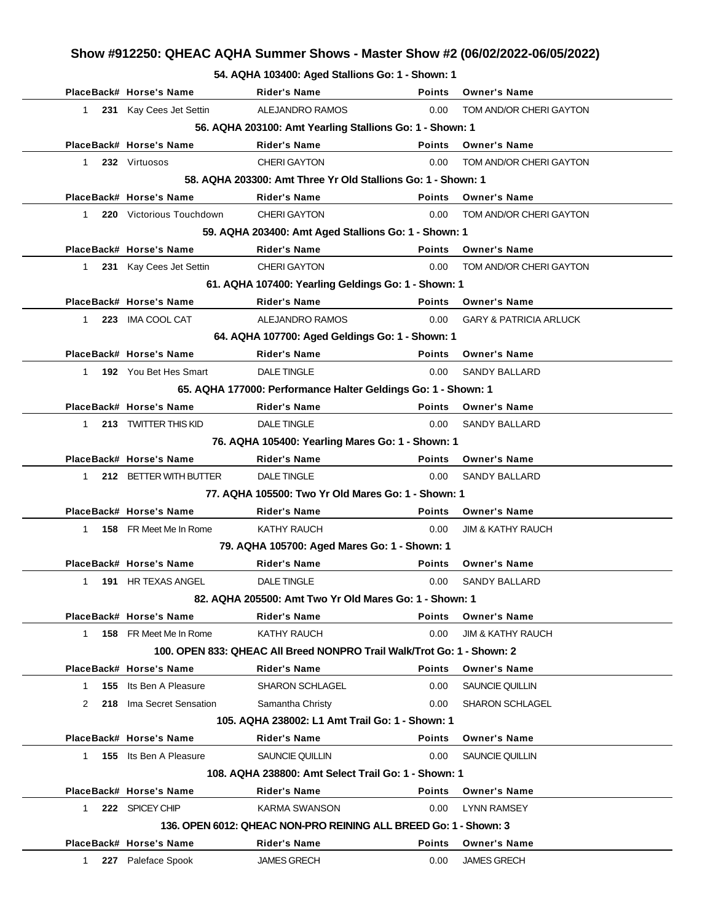**54. AQHA 103400: Aged Stallions Go: 1 - Shown: 1**

|                     | PlaceBack# Horse's Name  | <b>Rider's Name</b>                                                    | <b>Points</b> | <b>Owner's Name</b>               |
|---------------------|--------------------------|------------------------------------------------------------------------|---------------|-----------------------------------|
| 1                   | 231 Kay Cees Jet Settin  | ALEJANDRO RAMOS                                                        | 0.00          | TOM AND/OR CHERI GAYTON           |
|                     |                          | 56. AQHA 203100: Amt Yearling Stallions Go: 1 - Shown: 1               |               |                                   |
|                     | PlaceBack# Horse's Name  | <b>Rider's Name</b>                                                    | <b>Points</b> | <b>Owner's Name</b>               |
| 1                   | 232 Virtuosos            | <b>CHERI GAYTON</b>                                                    | 0.00          | TOM AND/OR CHERI GAYTON           |
|                     |                          | 58. AQHA 203300: Amt Three Yr Old Stallions Go: 1 - Shown: 1           |               |                                   |
|                     | PlaceBack# Horse's Name  | <b>Rider's Name</b>                                                    | Points        | <b>Owner's Name</b>               |
| 1.                  | 220 Victorious Touchdown | <b>CHERI GAYTON</b>                                                    | 0.00          | TOM AND/OR CHERI GAYTON           |
|                     |                          | 59. AQHA 203400: Amt Aged Stallions Go: 1 - Shown: 1                   |               |                                   |
|                     | PlaceBack# Horse's Name  | <b>Rider's Name</b>                                                    | <b>Points</b> | <b>Owner's Name</b>               |
| $\mathbf{1}$        | 231 Kay Cees Jet Settin  | <b>CHERI GAYTON</b>                                                    | 0.00          | TOM AND/OR CHERI GAYTON           |
|                     |                          | 61. AQHA 107400: Yearling Geldings Go: 1 - Shown: 1                    |               |                                   |
|                     | PlaceBack# Horse's Name  | <b>Rider's Name</b>                                                    | <b>Points</b> | <b>Owner's Name</b>               |
| 1                   | 223 IMA COOL CAT         | ALEJANDRO RAMOS                                                        | 0.00          | <b>GARY &amp; PATRICIA ARLUCK</b> |
|                     |                          | 64. AQHA 107700: Aged Geldings Go: 1 - Shown: 1                        |               |                                   |
|                     | PlaceBack# Horse's Name  | <b>Rider's Name</b>                                                    | <b>Points</b> | <b>Owner's Name</b>               |
| 1                   | 192 You Bet Hes Smart    | <b>DALE TINGLE</b>                                                     | 0.00          | <b>SANDY BALLARD</b>              |
|                     |                          | 65. AQHA 177000: Performance Halter Geldings Go: 1 - Shown: 1          |               |                                   |
|                     | PlaceBack# Horse's Name  | <b>Rider's Name</b>                                                    | <b>Points</b> | <b>Owner's Name</b>               |
| 1.                  | 213 TWITTER THIS KID     | <b>DALE TINGLE</b>                                                     | 0.00          | <b>SANDY BALLARD</b>              |
|                     |                          | 76. AQHA 105400: Yearling Mares Go: 1 - Shown: 1                       |               |                                   |
|                     | PlaceBack# Horse's Name  | <b>Rider's Name</b>                                                    | <b>Points</b> | <b>Owner's Name</b>               |
| 1                   | 212 BETTER WITH BUTTER   | <b>DALE TINGLE</b>                                                     | 0.00          | <b>SANDY BALLARD</b>              |
|                     |                          | 77. AQHA 105500: Two Yr Old Mares Go: 1 - Shown: 1                     |               |                                   |
|                     | PlaceBack# Horse's Name  | <b>Rider's Name</b>                                                    | <b>Points</b> | <b>Owner's Name</b>               |
| 1.                  | 158 FR Meet Me In Rome   | KATHY RAUCH                                                            | 0.00          | <b>JIM &amp; KATHY RAUCH</b>      |
|                     |                          | 79. AQHA 105700: Aged Mares Go: 1 - Shown: 1                           |               |                                   |
|                     | PlaceBack# Horse's Name  | <b>Rider's Name</b>                                                    | <b>Points</b> | <b>Owner's Name</b>               |
| $\mathbf{1}$        | 191 HR TEXAS ANGEL       | <b>DALE TINGLE</b>                                                     | 0.00          | <b>SANDY BALLARD</b>              |
|                     |                          | 82. AQHA 205500: Amt Two Yr Old Mares Go: 1 - Shown: 1                 |               |                                   |
|                     | PlaceBack# Horse's Name  | Rider's Name                                                           | <b>Points</b> | <b>Owner's Name</b>               |
| $\mathbf{1}$        | 158 FR Meet Me In Rome   | KATHY RAUCH                                                            | 0.00          | <b>JIM &amp; KATHY RAUCH</b>      |
|                     |                          | 100. OPEN 833: QHEAC All Breed NONPRO Trail Walk/Trot Go: 1 - Shown: 2 |               |                                   |
|                     | PlaceBack# Horse's Name  | Rider's Name                                                           | <b>Points</b> | <b>Owner's Name</b>               |
| 155<br>$\mathbf{1}$ | Its Ben A Pleasure       | <b>SHARON SCHLAGEL</b>                                                 | 0.00          | SAUNCIE QUILLIN                   |
| 2                   | 218 Ima Secret Sensation | Samantha Christy                                                       | 0.00          | <b>SHARON SCHLAGEL</b>            |
|                     |                          | 105. AQHA 238002: L1 Amt Trail Go: 1 - Shown: 1                        |               |                                   |
|                     | PlaceBack# Horse's Name  | <b>Rider's Name</b>                                                    | <b>Points</b> | <b>Owner's Name</b>               |
| $\mathbf{1}$        | 155 Its Ben A Pleasure   | SAUNCIE QUILLIN                                                        | 0.00          | SAUNCIE QUILLIN                   |
|                     |                          | 108. AQHA 238800: Amt Select Trail Go: 1 - Shown: 1                    |               |                                   |
|                     | PlaceBack# Horse's Name  | <b>Rider's Name</b>                                                    | <b>Points</b> | <b>Owner's Name</b>               |
| 1                   | 222 SPICEY CHIP          | KARMA SWANSON                                                          | 0.00          | <b>LYNN RAMSEY</b>                |
|                     |                          | 136, OPEN 6012: QHEAC NON-PRO REINING ALL BREED Go: 1 - Shown: 3       |               |                                   |
|                     | PlaceBack# Horse's Name  | Rider's Name                                                           | Points        | <b>Owner's Name</b>               |
| $\mathbf{1}$<br>227 | Paleface Spook           | <b>JAMES GRECH</b>                                                     | 0.00          | <b>JAMES GRECH</b>                |
|                     |                          |                                                                        |               |                                   |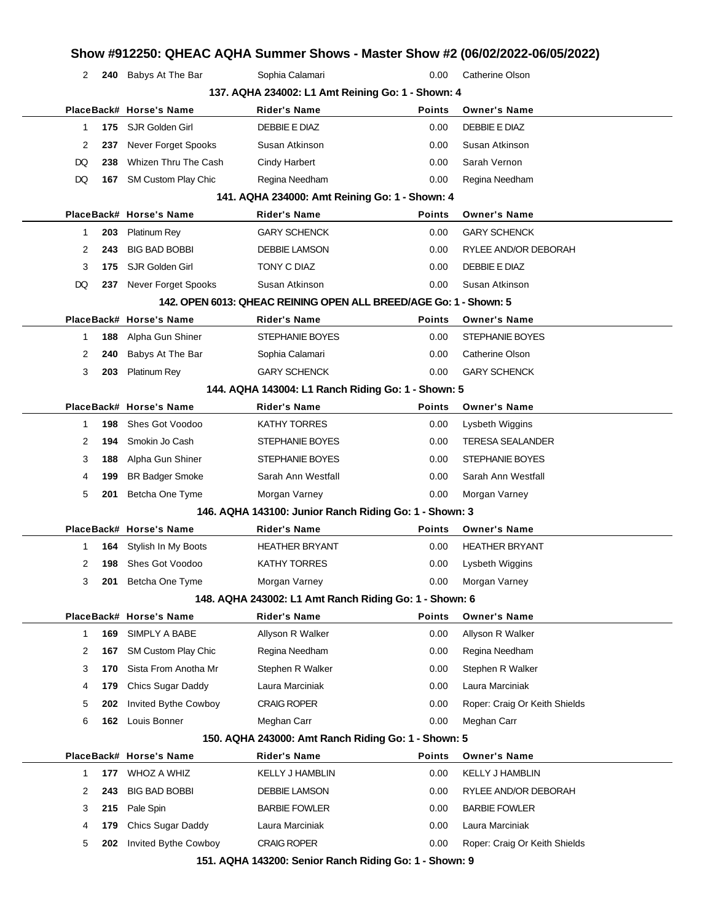| 2  |     | 240 Babys At The Bar       | Sophia Calamari                                                     | 0.00          | <b>Catherine Olson</b>        |
|----|-----|----------------------------|---------------------------------------------------------------------|---------------|-------------------------------|
|    |     |                            | 137. AQHA 234002: L1 Amt Reining Go: 1 - Shown: 4                   |               |                               |
|    |     | PlaceBack# Horse's Name    | <b>Rider's Name</b>                                                 | <b>Points</b> | <b>Owner's Name</b>           |
| 1  |     | 175 SJR Golden Girl        | DEBBIE E DIAZ                                                       | 0.00          | DEBBIE E DIAZ                 |
| 2  | 237 | <b>Never Forget Spooks</b> | Susan Atkinson                                                      | 0.00          | Susan Atkinson                |
| DQ | 238 | Whizen Thru The Cash       | <b>Cindy Harbert</b>                                                | 0.00          | Sarah Vernon                  |
| DQ |     | 167 SM Custom Play Chic    | Regina Needham                                                      | 0.00          | Regina Needham                |
|    |     |                            | 141. AQHA 234000: Amt Reining Go: 1 - Shown: 4                      |               |                               |
|    |     | PlaceBack# Horse's Name    | <b>Rider's Name</b>                                                 | <b>Points</b> | <b>Owner's Name</b>           |
| 1  | 203 | <b>Platinum Rey</b>        | <b>GARY SCHENCK</b>                                                 | 0.00          | <b>GARY SCHENCK</b>           |
| 2  | 243 | <b>BIG BAD BOBBI</b>       | <b>DEBBIE LAMSON</b>                                                | 0.00          | RYLEE AND/OR DEBORAH          |
| 3  | 175 | SJR Golden Girl            | TONY C DIAZ                                                         | 0.00          | DEBBIE E DIAZ                 |
| DQ |     | 237 Never Forget Spooks    | Susan Atkinson                                                      | 0.00          | Susan Atkinson                |
|    |     |                            | 142. OPEN 6013: QHEAC REINING OPEN ALL BREED/AGE Go: 1 - Shown: 5   |               |                               |
|    |     | PlaceBack# Horse's Name    | <b>Rider's Name</b>                                                 | <b>Points</b> | <b>Owner's Name</b>           |
| 1  | 188 | Alpha Gun Shiner           | <b>STEPHANIE BOYES</b>                                              | 0.00          | <b>STEPHANIE BOYES</b>        |
| 2  | 240 | Babys At The Bar           | Sophia Calamari                                                     | 0.00          | Catherine Olson               |
| 3  | 203 | <b>Platinum Rey</b>        | <b>GARY SCHENCK</b>                                                 | 0.00          | <b>GARY SCHENCK</b>           |
|    |     |                            | 144. AQHA 143004: L1 Ranch Riding Go: 1 - Shown: 5                  |               |                               |
|    |     | PlaceBack# Horse's Name    | <b>Rider's Name</b>                                                 | <b>Points</b> | <b>Owner's Name</b>           |
| 1. | 198 | Shes Got Voodoo            | KATHY TORRES                                                        | 0.00          | Lysbeth Wiggins               |
| 2  | 194 | Smokin Jo Cash             | STEPHANIE BOYES                                                     | 0.00          | <b>TERESA SEALANDER</b>       |
| 3  | 188 | Alpha Gun Shiner           | STEPHANIE BOYES                                                     | 0.00          | STEPHANIE BOYES               |
| 4  | 199 | <b>BR Badger Smoke</b>     | Sarah Ann Westfall                                                  | 0.00          | Sarah Ann Westfall            |
| 5  | 201 | Betcha One Tyme            | Morgan Varney                                                       | 0.00          | Morgan Varney                 |
|    |     |                            | 146. AQHA 143100: Junior Ranch Riding Go: 1 - Shown: 3              |               |                               |
|    |     | PlaceBack# Horse's Name    | <b>Rider's Name</b>                                                 | <b>Points</b> | <b>Owner's Name</b>           |
| 1  | 164 | Stylish In My Boots        | <b>HEATHER BRYANT</b>                                               | 0.00          | <b>HEATHER BRYANT</b>         |
| 2  | 198 | Shes Got Voodoo            | KATHY TORRES                                                        | 0.00          | Lysbeth Wiggins               |
| 3  | 201 | Betcha One Tyme            | Morgan Varney                                                       | 0.00          | Morgan Varney                 |
|    |     |                            | 148. AQHA 243002: L1 Amt Ranch Riding Go: 1 - Shown: 6              |               |                               |
|    |     |                            |                                                                     |               |                               |
|    |     | PlaceBack# Horse's Name    | Rider's Name                                                        | <b>Points</b> | <b>Owner's Name</b>           |
| 1  | 169 | SIMPLY A BABE              | Allyson R Walker                                                    | 0.00          | Allyson R Walker              |
| 2  | 167 | SM Custom Play Chic        | Regina Needham                                                      | 0.00          | Regina Needham                |
| 3  | 170 | Sista From Anotha Mr       | Stephen R Walker                                                    | 0.00          | Stephen R Walker              |
| 4  | 179 | Chics Sugar Daddy          | Laura Marciniak                                                     | 0.00          | Laura Marciniak               |
| 5  | 202 | Invited Bythe Cowboy       | <b>CRAIG ROPER</b>                                                  | 0.00          | Roper: Craig Or Keith Shields |
| 6  |     | 162 Louis Bonner           | Meghan Carr                                                         | 0.00          | Meghan Carr                   |
|    |     |                            |                                                                     |               |                               |
|    |     | PlaceBack# Horse's Name    | 150. AQHA 243000: Amt Ranch Riding Go: 1 - Shown: 5<br>Rider's Name | <b>Points</b> | <b>Owner's Name</b>           |
| 1. | 177 | WHOZ A WHIZ                | KELLY J HAMBLIN                                                     | 0.00          | <b>KELLY J HAMBLIN</b>        |
| 2  | 243 | <b>BIG BAD BOBBI</b>       | DEBBIE LAMSON                                                       | 0.00          | RYLEE AND/OR DEBORAH          |
| 3  | 215 | Pale Spin                  | <b>BARBIE FOWLER</b>                                                | 0.00          | <b>BARBIE FOWLER</b>          |
| 4  | 179 | Chics Sugar Daddy          | Laura Marciniak                                                     | 0.00          | Laura Marciniak               |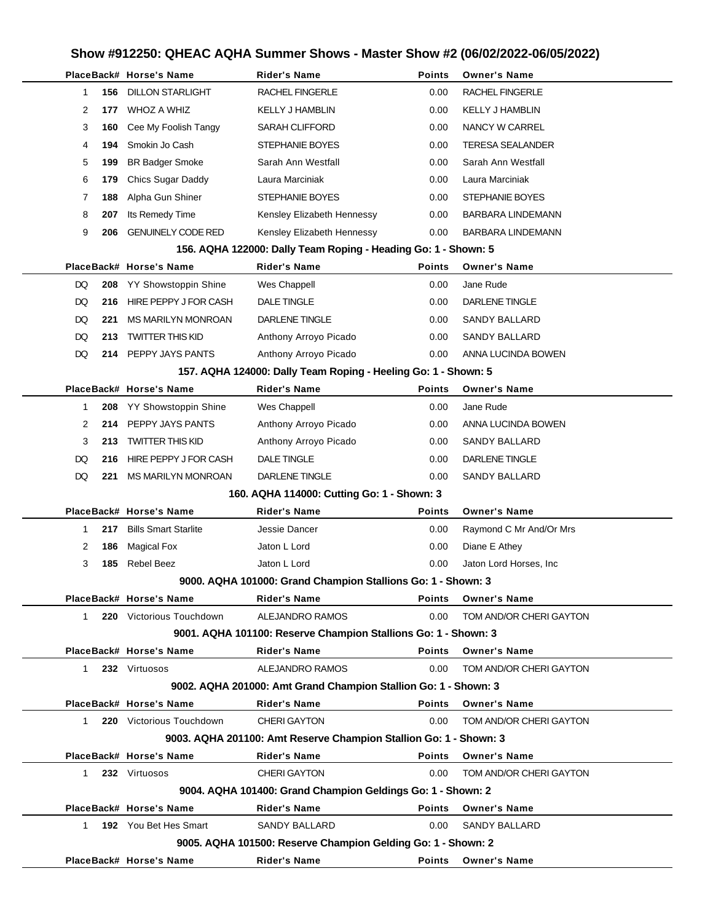l.

|             |     | PlaceBack# Horse's Name     | <b>Rider's Name</b>                                               | <b>Points</b> | <b>Owner's Name</b>     |
|-------------|-----|-----------------------------|-------------------------------------------------------------------|---------------|-------------------------|
| 1           | 156 | <b>DILLON STARLIGHT</b>     | RACHEL FINGERLE                                                   | 0.00          | RACHEL FINGERLE         |
| 2           | 177 | WHOZ A WHIZ                 | <b>KELLY J HAMBLIN</b>                                            | 0.00          | KELLY J HAMBLIN         |
| 3           | 160 | Cee My Foolish Tangy        | <b>SARAH CLIFFORD</b>                                             | 0.00          | NANCY W CARREL          |
| 4           | 194 | Smokin Jo Cash              | STEPHANIE BOYES                                                   | 0.00          | TERESA SEALANDER        |
| 5           | 199 | <b>BR Badger Smoke</b>      | Sarah Ann Westfall                                                | 0.00          | Sarah Ann Westfall      |
| 6           | 179 | Chics Sugar Daddy           | Laura Marciniak                                                   | 0.00          | Laura Marciniak         |
| 7           | 188 | Alpha Gun Shiner            | <b>STEPHANIE BOYES</b>                                            | 0.00          | STEPHANIE BOYES         |
| 8           | 207 | Its Remedy Time             | Kensley Elizabeth Hennessy                                        | 0.00          | BARBARA LINDEMANN       |
| 9           | 206 | <b>GENUINELY CODE RED</b>   | Kensley Elizabeth Hennessy                                        | 0.00          | BARBARA LINDEMANN       |
|             |     |                             | 156. AQHA 122000: Dally Team Roping - Heading Go: 1 - Shown: 5    |               |                         |
|             |     | PlaceBack# Horse's Name     | <b>Rider's Name</b>                                               | <b>Points</b> | <b>Owner's Name</b>     |
| DQ          | 208 | <b>YY Showstoppin Shine</b> | Wes Chappell                                                      | 0.00          | Jane Rude               |
| DQ          | 216 | HIRE PEPPY J FOR CASH       | DALE TINGLE                                                       | 0.00          | DARLENE TINGLE          |
| DQ          | 221 | MS MARILYN MONROAN          | DARLENE TINGLE                                                    | 0.00          | SANDY BALLARD           |
| DQ          | 213 | <b>TWITTER THIS KID</b>     | Anthony Arroyo Picado                                             | 0.00          | SANDY BALLARD           |
| DQ          |     | 214 PEPPY JAYS PANTS        | Anthony Arroyo Picado                                             | 0.00          | ANNA LUCINDA BOWEN      |
|             |     |                             | 157. AQHA 124000: Dally Team Roping - Heeling Go: 1 - Shown: 5    |               |                         |
|             |     | PlaceBack# Horse's Name     | <b>Rider's Name</b>                                               | <b>Points</b> | <b>Owner's Name</b>     |
| 1           | 208 | <b>YY Showstoppin Shine</b> | Wes Chappell                                                      | 0.00          | Jane Rude               |
| 2           | 214 | PEPPY JAYS PANTS            | Anthony Arroyo Picado                                             | 0.00          | ANNA LUCINDA BOWEN      |
| 3           | 213 | <b>TWITTER THIS KID</b>     | Anthony Arroyo Picado                                             | 0.00          | SANDY BALLARD           |
| DQ          | 216 | HIRE PEPPY J FOR CASH       | DALE TINGLE                                                       | 0.00          | DARLENE TINGLE          |
| DQ          | 221 | <b>MS MARILYN MONROAN</b>   | DARLENE TINGLE                                                    | 0.00          | SANDY BALLARD           |
|             |     |                             | 160. AQHA 114000: Cutting Go: 1 - Shown: 3                        |               |                         |
|             |     | PlaceBack# Horse's Name     | <b>Rider's Name</b>                                               | <b>Points</b> | <b>Owner's Name</b>     |
| 1           | 217 | <b>Bills Smart Starlite</b> | Jessie Dancer                                                     | 0.00          | Raymond C Mr And/Or Mrs |
| 2           | 186 | <b>Magical Fox</b>          | Jaton L Lord                                                      | 0.00          | Diane E Athey           |
| 3           | 185 | <b>Rebel Beez</b>           | Jaton L Lord                                                      | 0.00          | Jaton Lord Horses, Inc. |
|             |     |                             | 9000. AQHA 101000: Grand Champion Stallions Go: 1 - Shown: 3      |               |                         |
|             |     | PlaceBack# Horse's Name     | <b>Rider's Name</b>                                               | <b>Points</b> | <b>Owner's Name</b>     |
| $\mathbf 1$ |     | 220 Victorious Touchdown    | ALEJANDRO RAMOS                                                   | 0.00          | TOM AND/OR CHERI GAYTON |
|             |     |                             | 9001. AQHA 101100: Reserve Champion Stallions Go: 1 - Shown: 3    |               |                         |
|             |     | PlaceBack# Horse's Name     | <b>Rider's Name</b>                                               | <b>Points</b> | <b>Owner's Name</b>     |
| 1           |     | 232 Virtuosos               | ALEJANDRO RAMOS                                                   | 0.00          | TOM AND/OR CHERI GAYTON |
|             |     |                             | 9002. AQHA 201000: Amt Grand Champion Stallion Go: 1 - Shown: 3   |               |                         |
|             |     | PlaceBack# Horse's Name     | <b>Rider's Name</b>                                               | <b>Points</b> | <b>Owner's Name</b>     |
| $\mathbf 1$ |     | 220 Victorious Touchdown    | <b>CHERI GAYTON</b>                                               | 0.00          | TOM AND/OR CHERI GAYTON |
|             |     |                             | 9003. AQHA 201100: Amt Reserve Champion Stallion Go: 1 - Shown: 3 |               |                         |
|             |     | PlaceBack# Horse's Name     | <b>Rider's Name</b>                                               | <b>Points</b> | <b>Owner's Name</b>     |
| 1.          |     | 232 Virtuosos               | <b>CHERI GAYTON</b>                                               | 0.00          | TOM AND/OR CHERI GAYTON |
|             |     |                             | 9004. AQHA 101400: Grand Champion Geldings Go: 1 - Shown: 2       |               |                         |
|             |     | PlaceBack# Horse's Name     | <b>Rider's Name</b>                                               | <b>Points</b> | <b>Owner's Name</b>     |
| 1           |     | 192 You Bet Hes Smart       | SANDY BALLARD                                                     | 0.00          | SANDY BALLARD           |
|             |     |                             | 9005. AQHA 101500: Reserve Champion Gelding Go: 1 - Shown: 2      |               |                         |
|             |     | PlaceBack# Horse's Name     | Rider's Name                                                      | <b>Points</b> | <b>Owner's Name</b>     |